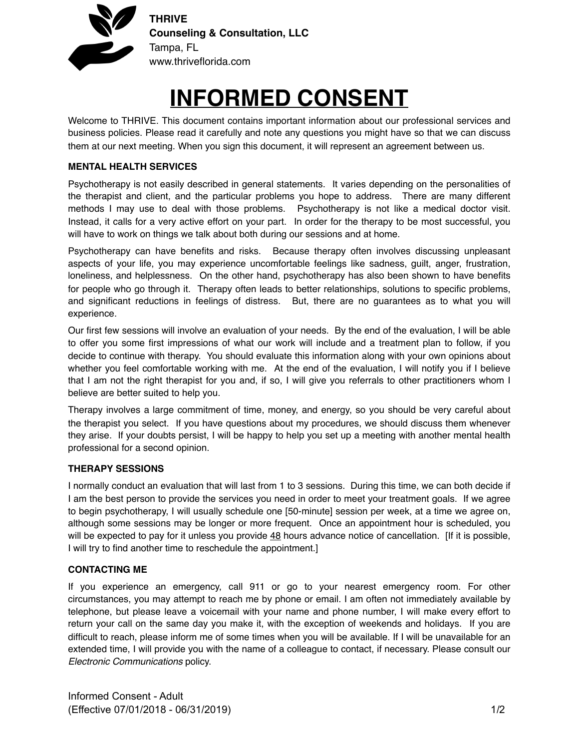

# **INFORMED CONSENT**

Welcome to THRIVE. This document contains important information about our professional services and business policies. Please read it carefully and note any questions you might have so that we can discuss them at our next meeting. When you sign this document, it will represent an agreement between us.

### **MENTAL HEALTH SERVICES**

Psychotherapy is not easily described in general statements. It varies depending on the personalities of the therapist and client, and the particular problems you hope to address. There are many different methods I may use to deal with those problems. Psychotherapy is not like a medical doctor visit. Instead, it calls for a very active effort on your part. In order for the therapy to be most successful, you will have to work on things we talk about both during our sessions and at home.

Psychotherapy can have benefits and risks. Because therapy often involves discussing unpleasant aspects of your life, you may experience uncomfortable feelings like sadness, guilt, anger, frustration, loneliness, and helplessness. On the other hand, psychotherapy has also been shown to have benefits for people who go through it. Therapy often leads to better relationships, solutions to specific problems, and significant reductions in feelings of distress. But, there are no guarantees as to what you will experience.

Our first few sessions will involve an evaluation of your needs. By the end of the evaluation, I will be able to offer you some first impressions of what our work will include and a treatment plan to follow, if you decide to continue with therapy. You should evaluate this information along with your own opinions about whether you feel comfortable working with me. At the end of the evaluation, I will notify you if I believe that I am not the right therapist for you and, if so, I will give you referrals to other practitioners whom I believe are better suited to help you.

Therapy involves a large commitment of time, money, and energy, so you should be very careful about the therapist you select. If you have questions about my procedures, we should discuss them whenever they arise. If your doubts persist, I will be happy to help you set up a meeting with another mental health professional for a second opinion.

#### **THERAPY SESSIONS**

I normally conduct an evaluation that will last from 1 to 3 sessions. During this time, we can both decide if I am the best person to provide the services you need in order to meet your treatment goals. If we agree to begin psychotherapy, I will usually schedule one [50-minute] session per week, at a time we agree on, although some sessions may be longer or more frequent. Once an appointment hour is scheduled, you will be expected to pay for it unless you provide 48 hours advance notice of cancellation. [If it is possible, I will try to find another time to reschedule the appointment.]

#### **CONTACTING ME**

If you experience an emergency, call 911 or go to your nearest emergency room. For other circumstances, you may attempt to reach me by phone or email. I am often not immediately available by telephone, but please leave a voicemail with your name and phone number, I will make every effort to return your call on the same day you make it, with the exception of weekends and holidays. If you are difficult to reach, please inform me of some times when you will be available. If I will be unavailable for an extended time, I will provide you with the name of a colleague to contact, if necessary. Please consult our *Electronic Communications* policy.